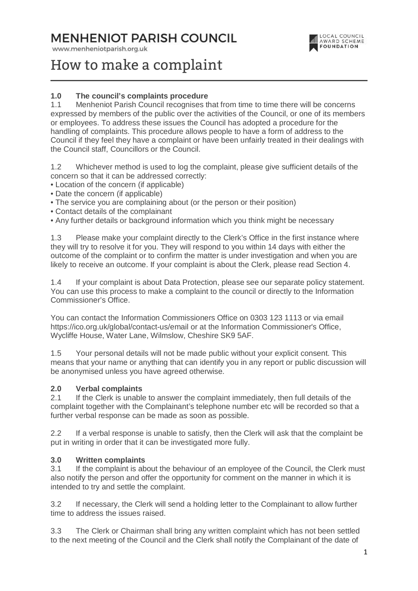# **MENHENIOT PARISH COUNCIL**

www.menheniotparish.org.uk



# How to make a complaint

### **1.0 The council's complaints procedure**

1.1 Menheniot Parish Council recognises that from time to time there will be concerns expressed by members of the public over the activities of the Council, or one of its members or employees. To address these issues the Council has adopted a procedure for the handling of complaints. This procedure allows people to have a form of address to the Council if they feel they have a complaint or have been unfairly treated in their dealings with the Council staff, Councillors or the Council.

1.2 Whichever method is used to log the complaint, please give sufficient details of the concern so that it can be addressed correctly:

- Location of the concern (if applicable)
- Date the concern (if applicable)
- The service you are complaining about (or the person or their position)
- Contact details of the complainant
- Any further details or background information which you think might be necessary

1.3 Please make your complaint directly to the Clerk's Office in the first instance where they will try to resolve it for you. They will respond to you within 14 days with either the outcome of the complaint or to confirm the matter is under investigation and when you are likely to receive an outcome. If your complaint is about the Clerk, please read Section 4.

1.4 If your complaint is about Data Protection, please see our separate policy statement. You can use this process to make a complaint to the council or directly to the Information Commissioner's Office.

You can contact the Information Commissioners Office on 0303 123 1113 or via email https://ico.org.uk/global/contact-us/email or at the Information Commissioner's Office, Wycliffe House, Water Lane, Wilmslow, Cheshire SK9 5AF.

1.5 Your personal details will not be made public without your explicit consent. This means that your name or anything that can identify you in any report or public discussion will be anonymised unless you have agreed otherwise.

#### **2.0 Verbal complaints**

2.1 If the Clerk is unable to answer the complaint immediately, then full details of the complaint together with the Complainant's telephone number etc will be recorded so that a further verbal response can be made as soon as possible.

2.2 If a verbal response is unable to satisfy, then the Clerk will ask that the complaint be put in writing in order that it can be investigated more fully.

#### **3.0 Written complaints**

3.1 If the complaint is about the behaviour of an employee of the Council, the Clerk must also notify the person and offer the opportunity for comment on the manner in which it is intended to try and settle the complaint.

3.2 If necessary, the Clerk will send a holding letter to the Complainant to allow further time to address the issues raised.

3.3 The Clerk or Chairman shall bring any written complaint which has not been settled to the next meeting of the Council and the Clerk shall notify the Complainant of the date of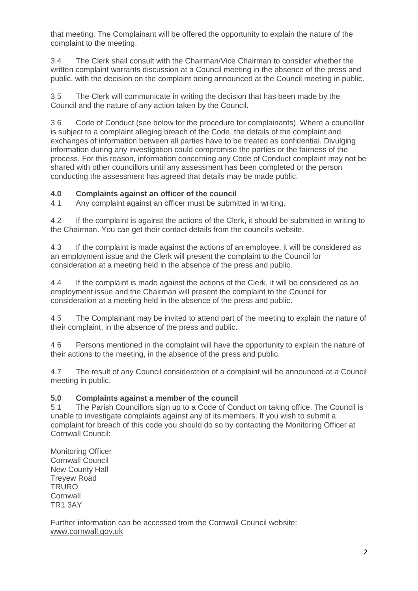that meeting. The Complainant will be offered the opportunity to explain the nature of the complaint to the meeting.

3.4 The Clerk shall consult with the Chairman/Vice Chairman to consider whether the written complaint warrants discussion at a Council meeting in the absence of the press and public, with the decision on the complaint being announced at the Council meeting in public.

3.5 The Clerk will communicate in writing the decision that has been made by the Council and the nature of any action taken by the Council.

3.6 Code of Conduct (see below for the procedure for complainants). Where a councillor is subject to a complaint alleging breach of the Code, the details of the complaint and exchanges of information between all parties have to be treated as confidential. Divulging information during any investigation could compromise the parties or the fairness of the process. For this reason, information concerning any Code of Conduct complaint may not be shared with other councillors until any assessment has been completed or the person conducting the assessment has agreed that details may be made public.

#### **4.0 Complaints against an officer of the council**

4.1 Any complaint against an officer must be submitted in writing.

4.2 If the complaint is against the actions of the Clerk, it should be submitted in writing to the Chairman. You can get their contact details from the council's website.

4.3 If the complaint is made against the actions of an employee, it will be considered as an employment issue and the Clerk will present the complaint to the Council for consideration at a meeting held in the absence of the press and public.

4.4 If the complaint is made against the actions of the Clerk, it will be considered as an employment issue and the Chairman will present the complaint to the Council for consideration at a meeting held in the absence of the press and public.

4.5 The Complainant may be invited to attend part of the meeting to explain the nature of their complaint, in the absence of the press and public.

4.6 Persons mentioned in the complaint will have the opportunity to explain the nature of their actions to the meeting, in the absence of the press and public.

4.7 The result of any Council consideration of a complaint will be announced at a Council meeting in public.

#### **5.0 Complaints against a member of the council**

5.1 The Parish Councillors sign up to a Code of Conduct on taking office. The Council is unable to investigate complaints against any of its members. If you wish to submit a complaint for breach of this code you should do so by contacting the Monitoring Officer at Cornwall Council:

Monitoring Officer Cornwall Council New County Hall Treyew Road **TRURO Cornwall** TR1 3AY

Further information can be accessed from the Cornwall Council website: www.cornwall.gov.uk